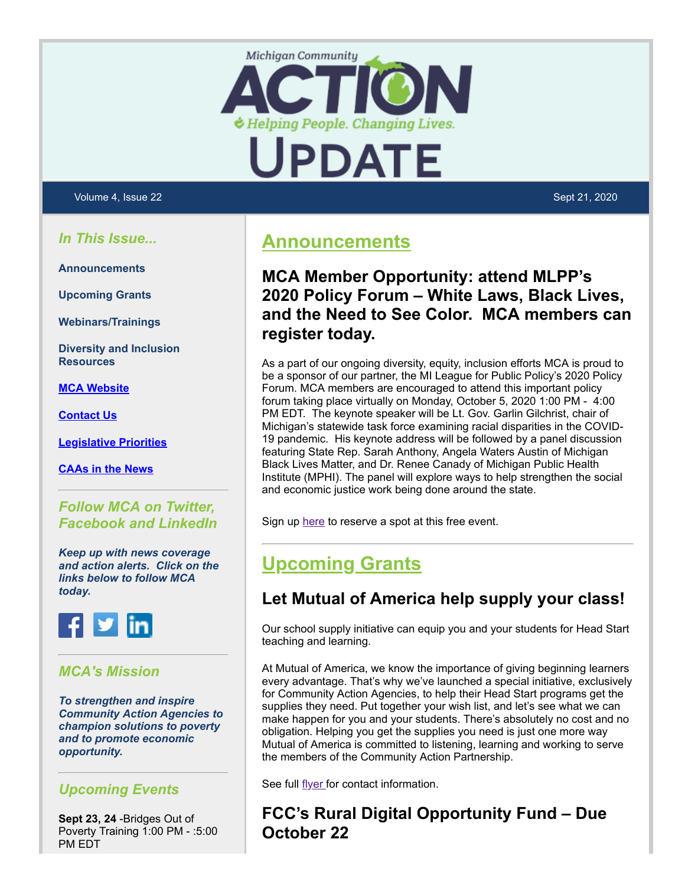



#### Volume 4, Issue 22 Sept 21, 2020

### *In This Issue...*

**Announcements**

**Upcoming Grants**

**Webinars/Trainings**

**Diversity and Inclusion Resources**

**[MCA Website](https://mcac.memberclicks.net/)**

**[Contact Us](https://mcac.memberclicks.net/contact-mca)**

**[Legislative Priorities](https://mcac.memberclicks.net/advocacy-government-affairs)**

**[CAAs in the News](https://mcac.memberclicks.net/news)**

### *Follow MCA on Twitter, Facebook and LinkedIn*

*Keep up with news coverage and action alerts. Click on the links below to follow MCA today.*



### *MCA's Mission*

*To strengthen and inspire Community Action Agencies to champion solutions to poverty and to promote economic opportunity.*

### *Upcoming Events*

**Sept 23, 24** -Bridges Out of Poverty Training 1:00 PM - :5:00 PM EDT

## **Announcements**

### **MCA Member Opportunity: attend MLPP's 2020 Policy Forum – White Laws, Black Lives, and the Need to See Color. MCA members can register today.**

As a part of our ongoing diversity, equity, inclusion efforts MCA is proud to be a sponsor of our partner, the MI League for Public Policy's 2020 Policy Forum. MCA members are encouraged to attend this important policy forum taking place virtually on Monday, October 5, 2020 1:00 PM - 4:00 PM EDT. The keynote speaker will be Lt. Gov. Garlin Gilchrist, chair of Michigan's statewide task force examining racial disparities in the COVID-19 pandemic. His keynote address will be followed by a panel discussion featuring State Rep. Sarah Anthony, Angela Waters Austin of Michigan Black Lives Matter, and Dr. Renee Canady of Michigan Public Health Institute (MPHI). The panel will explore ways to help strengthen the social and economic justice work being done around the state.

Sign up [here](https://secure.everyaction.com/wyeX3RgZFkuCAT05hzp4Kg2) to reserve a spot at this free event.

# **Upcoming Grants**

## **Let Mutual of America help supply your class!**

Our school supply initiative can equip you and your students for Head Start teaching and learning.

At Mutual of America, we know the importance of giving beginning learners every advantage. That's why we've launched a special initiative, exclusively for Community Action Agencies, to help their Head Start programs get the supplies they need. Put together your wish list, and let's see what we can make happen for you and your students. There's absolutely no cost and no obligation. Helping you get the supplies you need is just one more way Mutual of America is committed to listening, learning and working to serve the members of the Community Action Partnership.

See full [flyer f](https://mcac.memberclicks.net/assets/docs/Catalyst/2020_Issues/MoA%20Head%20Start%20Community%20Action%20Program%20Flyer%20August%202020.pdf)or contact information.

## **FCC's Rural Digital Opportunity Fund – Due October 22**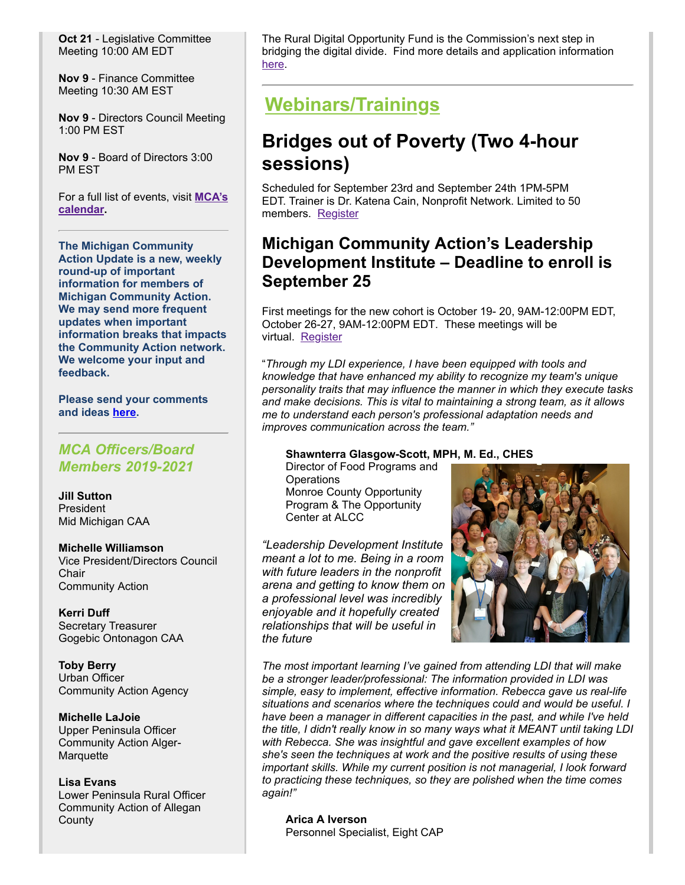**Oct 21** - Legislative Committee Meeting 10:00 AM EDT

**Nov 9** - Finance Committee Meeting 10:30 AM EST

**Nov 9** - Directors Council Meeting 1:00 PM EST

**Nov 9** - Board of Directors 3:00 PM EST

[For a full list of events, visit](https://mcac.memberclicks.net/index.php?option=com_jevents&Itemid=115&task=year.listevents) **MCA's calendar.**

**The Michigan Community Action Update is a new, weekly round-up of important information for members of Michigan Community Action. We may send more frequent updates when important information breaks that impacts the Community Action network. We welcome your input and feedback.**

**Please send your comments and ideas [here.](mailto:ncaroen@micommunityaction.org)**

### *MCA Officers/Board Members 2019-2021*

**Jill Sutton** President Mid Michigan CAA

**Michelle Williamson** Vice President/Directors Council **Chair** Community Action

**Kerri Duff** Secretary Treasurer Gogebic Ontonagon CAA

**Toby Berry** Urban Officer Community Action Agency

**Michelle LaJoie** Upper Peninsula Officer Community Action Alger-**Marquette** 

**Lisa Evans** Lower Peninsula Rural Officer Community Action of Allegan **County** 

The Rural Digital Opportunity Fund is the Commission's next step in bridging the digital divide. Find more details and application information [here](https://www.fcc.gov/auction/904).

# **Webinars/Trainings**

# **Bridges out of Poverty (Two 4-hour sessions)**

Scheduled for September 23rd and September 24th 1PM-5PM EDT. Trainer is Dr. Katena Cain, Nonprofit Network. Limited to 50 members. [Register](https://mcac.memberclicks.net/index.php?option=com_mcform&view=ngforms&id=2060653#/)

## **Michigan Community Action's Leadership Development Institute – Deadline to enroll is September 25**

First meetings for the new cohort is October 19- 20, 9AM-12:00PM EDT, October 26-27, 9AM-12:00PM EDT. These meetings will be virtual. [Register](https://mcac.memberclicks.net/index.php?option=com_mcform&view=ngforms&id=2056158#/)

"*Through my LDI experience, I have been equipped with tools and knowledge that have enhanced my ability to recognize my team's unique personality traits that may influence the manner in which they execute tasks and make decisions. This is vital to maintaining a strong team, as it allows me to understand each person's professional adaptation needs and improves communication across the team."*

#### **Shawnterra Glasgow-Scott, MPH, M. Ed., CHES**

Director of Food Programs and **Operations** Monroe County Opportunity Program & The Opportunity Center at ALCC

*"Leadership Development Institute meant a lot to me. Being in a room with future leaders in the nonprofit arena and getting to know them on a professional level was incredibly enjoyable and it hopefully created relationships that will be useful in the future*



*The most important learning I've gained from attending LDI that will make be a stronger leader/professional: The information provided in LDI was simple, easy to implement, effective information. Rebecca gave us real-life situations and scenarios where the techniques could and would be useful. I have been a manager in different capacities in the past, and while I've held the title, I didn't really know in so many ways what it MEANT until taking LDI with Rebecca. She was insightful and gave excellent examples of how she's seen the techniques at work and the positive results of using these important skills. While my current position is not managerial, I look forward to practicing these techniques, so they are polished when the time comes again!"*

**Arica A Iverson** Personnel Specialist, Eight CAP